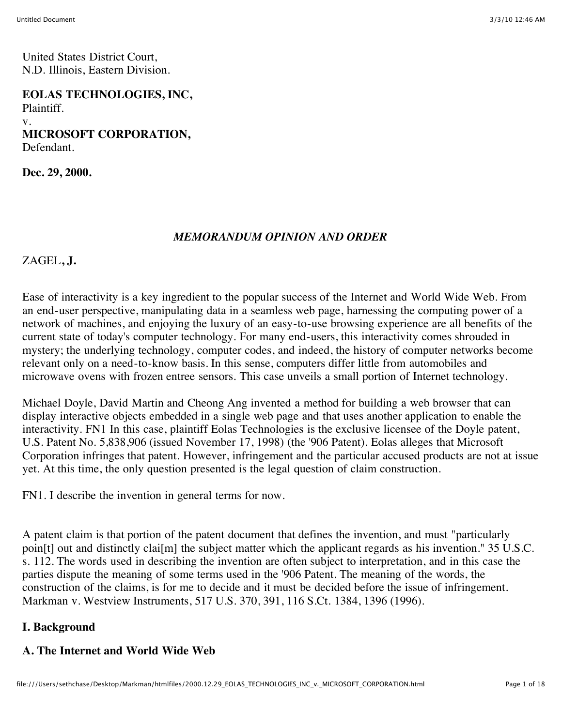United States District Court, N.D. Illinois, Eastern Division.

**EOLAS TECHNOLOGIES, INC,** Plaintiff. v. **MICROSOFT CORPORATION,** Defendant.

**Dec. 29, 2000.**

#### *MEMORANDUM OPINION AND ORDER*

ZAGEL**, J.**

Ease of interactivity is a key ingredient to the popular success of the Internet and World Wide Web. From an end-user perspective, manipulating data in a seamless web page, harnessing the computing power of a network of machines, and enjoying the luxury of an easy-to-use browsing experience are all benefits of the current state of today's computer technology. For many end-users, this interactivity comes shrouded in mystery; the underlying technology, computer codes, and indeed, the history of computer networks become relevant only on a need-to-know basis. In this sense, computers differ little from automobiles and microwave ovens with frozen entree sensors. This case unveils a small portion of Internet technology.

Michael Doyle, David Martin and Cheong Ang invented a method for building a web browser that can display interactive objects embedded in a single web page and that uses another application to enable the interactivity. FN1 In this case, plaintiff Eolas Technologies is the exclusive licensee of the Doyle patent, U.S. Patent No. 5,838,906 (issued November 17, 1998) (the '906 Patent). Eolas alleges that Microsoft Corporation infringes that patent. However, infringement and the particular accused products are not at issue yet. At this time, the only question presented is the legal question of claim construction.

FN1. I describe the invention in general terms for now.

A patent claim is that portion of the patent document that defines the invention, and must "particularly poin[t] out and distinctly clai[m] the subject matter which the applicant regards as his invention." 35 U.S.C. s. 112. The words used in describing the invention are often subject to interpretation, and in this case the parties dispute the meaning of some terms used in the '906 Patent. The meaning of the words, the construction of the claims, is for me to decide and it must be decided before the issue of infringement. Markman v. Westview Instruments, 517 U.S. 370, 391, 116 S.Ct. 1384, 1396 (1996).

#### **I. Background**

#### **A. The Internet and World Wide Web**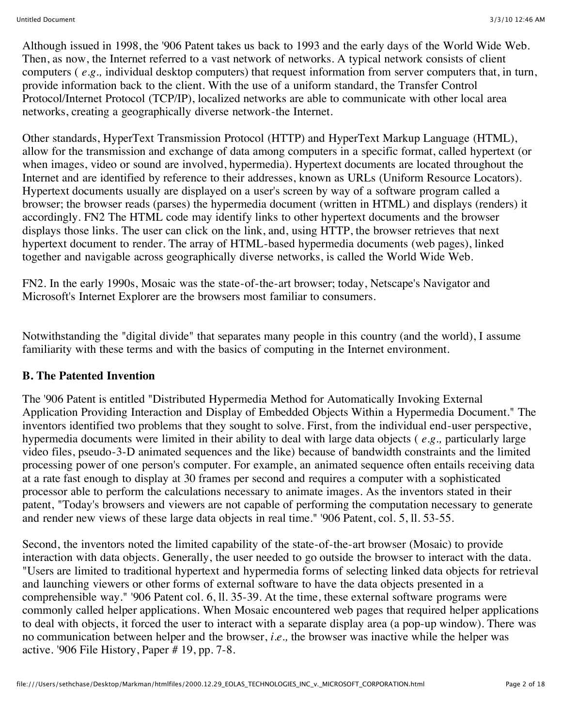Although issued in 1998, the '906 Patent takes us back to 1993 and the early days of the World Wide Web. Then, as now, the Internet referred to a vast network of networks. A typical network consists of client computers ( *e.g.,* individual desktop computers) that request information from server computers that, in turn, provide information back to the client. With the use of a uniform standard, the Transfer Control Protocol/Internet Protocol (TCP/IP), localized networks are able to communicate with other local area networks, creating a geographically diverse network-the Internet.

Other standards, HyperText Transmission Protocol (HTTP) and HyperText Markup Language (HTML), allow for the transmission and exchange of data among computers in a specific format, called hypertext (or when images, video or sound are involved, hypermedia). Hypertext documents are located throughout the Internet and are identified by reference to their addresses, known as URLs (Uniform Resource Locators). Hypertext documents usually are displayed on a user's screen by way of a software program called a browser; the browser reads (parses) the hypermedia document (written in HTML) and displays (renders) it accordingly. FN2 The HTML code may identify links to other hypertext documents and the browser displays those links. The user can click on the link, and, using HTTP, the browser retrieves that next hypertext document to render. The array of HTML-based hypermedia documents (web pages), linked together and navigable across geographically diverse networks, is called the World Wide Web.

FN2. In the early 1990s, Mosaic was the state-of-the-art browser; today, Netscape's Navigator and Microsoft's Internet Explorer are the browsers most familiar to consumers.

Notwithstanding the "digital divide" that separates many people in this country (and the world), I assume familiarity with these terms and with the basics of computing in the Internet environment.

### **B. The Patented Invention**

The '906 Patent is entitled "Distributed Hypermedia Method for Automatically Invoking External Application Providing Interaction and Display of Embedded Objects Within a Hypermedia Document." The inventors identified two problems that they sought to solve. First, from the individual end-user perspective, hypermedia documents were limited in their ability to deal with large data objects ( *e.g.,* particularly large video files, pseudo-3-D animated sequences and the like) because of bandwidth constraints and the limited processing power of one person's computer. For example, an animated sequence often entails receiving data at a rate fast enough to display at 30 frames per second and requires a computer with a sophisticated processor able to perform the calculations necessary to animate images. As the inventors stated in their patent, "Today's browsers and viewers are not capable of performing the computation necessary to generate and render new views of these large data objects in real time." '906 Patent, col. 5, ll. 53-55.

Second, the inventors noted the limited capability of the state-of-the-art browser (Mosaic) to provide interaction with data objects. Generally, the user needed to go outside the browser to interact with the data. "Users are limited to traditional hypertext and hypermedia forms of selecting linked data objects for retrieval and launching viewers or other forms of external software to have the data objects presented in a comprehensible way." '906 Patent col. 6, ll. 35-39. At the time, these external software programs were commonly called helper applications. When Mosaic encountered web pages that required helper applications to deal with objects, it forced the user to interact with a separate display area (a pop-up window). There was no communication between helper and the browser, *i.e.,* the browser was inactive while the helper was active. '906 File History, Paper # 19, pp. 7-8.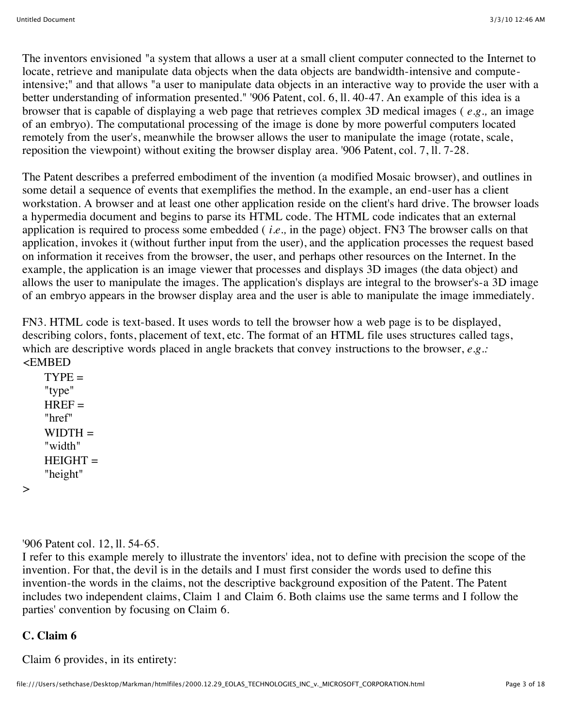The inventors envisioned "a system that allows a user at a small client computer connected to the Internet to locate, retrieve and manipulate data objects when the data objects are bandwidth-intensive and computeintensive;" and that allows "a user to manipulate data objects in an interactive way to provide the user with a better understanding of information presented." '906 Patent, col. 6, ll. 40-47. An example of this idea is a browser that is capable of displaying a web page that retrieves complex 3D medical images ( *e.g.,* an image of an embryo). The computational processing of the image is done by more powerful computers located remotely from the user's, meanwhile the browser allows the user to manipulate the image (rotate, scale, reposition the viewpoint) without exiting the browser display area. '906 Patent, col. 7, ll. 7-28.

The Patent describes a preferred embodiment of the invention (a modified Mosaic browser), and outlines in some detail a sequence of events that exemplifies the method. In the example, an end-user has a client workstation. A browser and at least one other application reside on the client's hard drive. The browser loads a hypermedia document and begins to parse its HTML code. The HTML code indicates that an external application is required to process some embedded ( *i.e.,* in the page) object. FN3 The browser calls on that application, invokes it (without further input from the user), and the application processes the request based on information it receives from the browser, the user, and perhaps other resources on the Internet. In the example, the application is an image viewer that processes and displays 3D images (the data object) and allows the user to manipulate the images. The application's displays are integral to the browser's-a 3D image of an embryo appears in the browser display area and the user is able to manipulate the image immediately.

FN3. HTML code is text-based. It uses words to tell the browser how a web page is to be displayed, describing colors, fonts, placement of text, etc. The format of an HTML file uses structures called tags, which are descriptive words placed in angle brackets that convey instructions to the browser, *e.g.:* <EMBED

 $TYPE =$ "type"  $HREF=$ "href"  $WIDTH =$ "width"  $HEIGHT =$ "height"

 $\geq$ 

'906 Patent col. 12, ll. 54-65.

I refer to this example merely to illustrate the inventors' idea, not to define with precision the scope of the invention. For that, the devil is in the details and I must first consider the words used to define this invention-the words in the claims, not the descriptive background exposition of the Patent. The Patent includes two independent claims, Claim 1 and Claim 6. Both claims use the same terms and I follow the parties' convention by focusing on Claim 6.

# **C. Claim 6**

Claim 6 provides, in its entirety: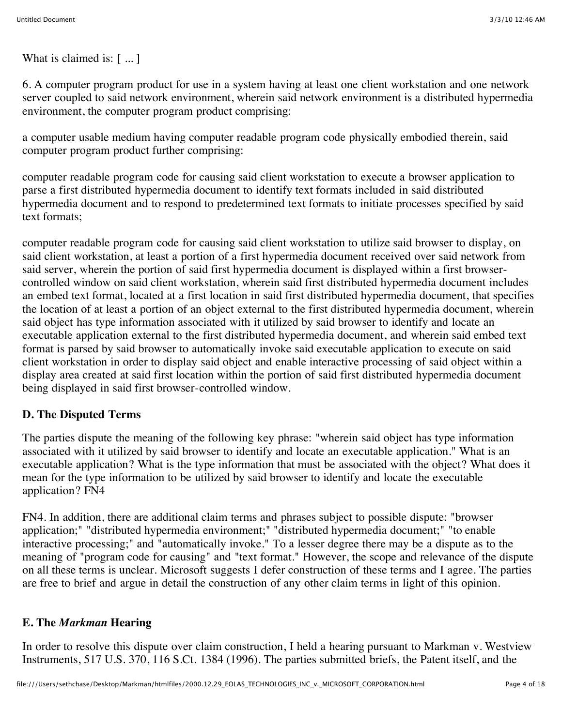What is claimed is: [ ... ]

6. A computer program product for use in a system having at least one client workstation and one network server coupled to said network environment, wherein said network environment is a distributed hypermedia environment, the computer program product comprising:

a computer usable medium having computer readable program code physically embodied therein, said computer program product further comprising:

computer readable program code for causing said client workstation to execute a browser application to parse a first distributed hypermedia document to identify text formats included in said distributed hypermedia document and to respond to predetermined text formats to initiate processes specified by said text formats;

computer readable program code for causing said client workstation to utilize said browser to display, on said client workstation, at least a portion of a first hypermedia document received over said network from said server, wherein the portion of said first hypermedia document is displayed within a first browsercontrolled window on said client workstation, wherein said first distributed hypermedia document includes an embed text format, located at a first location in said first distributed hypermedia document, that specifies the location of at least a portion of an object external to the first distributed hypermedia document, wherein said object has type information associated with it utilized by said browser to identify and locate an executable application external to the first distributed hypermedia document, and wherein said embed text format is parsed by said browser to automatically invoke said executable application to execute on said client workstation in order to display said object and enable interactive processing of said object within a display area created at said first location within the portion of said first distributed hypermedia document being displayed in said first browser-controlled window.

### **D. The Disputed Terms**

The parties dispute the meaning of the following key phrase: "wherein said object has type information associated with it utilized by said browser to identify and locate an executable application." What is an executable application? What is the type information that must be associated with the object? What does it mean for the type information to be utilized by said browser to identify and locate the executable application? FN4

FN4. In addition, there are additional claim terms and phrases subject to possible dispute: "browser application;" "distributed hypermedia environment;" "distributed hypermedia document;" "to enable interactive processing;" and "automatically invoke." To a lesser degree there may be a dispute as to the meaning of "program code for causing" and "text format." However, the scope and relevance of the dispute on all these terms is unclear. Microsoft suggests I defer construction of these terms and I agree. The parties are free to brief and argue in detail the construction of any other claim terms in light of this opinion.

### **E. The** *Markman* **Hearing**

In order to resolve this dispute over claim construction, I held a hearing pursuant to Markman v. Westview Instruments, 517 U.S. 370, 116 S.Ct. 1384 (1996). The parties submitted briefs, the Patent itself, and the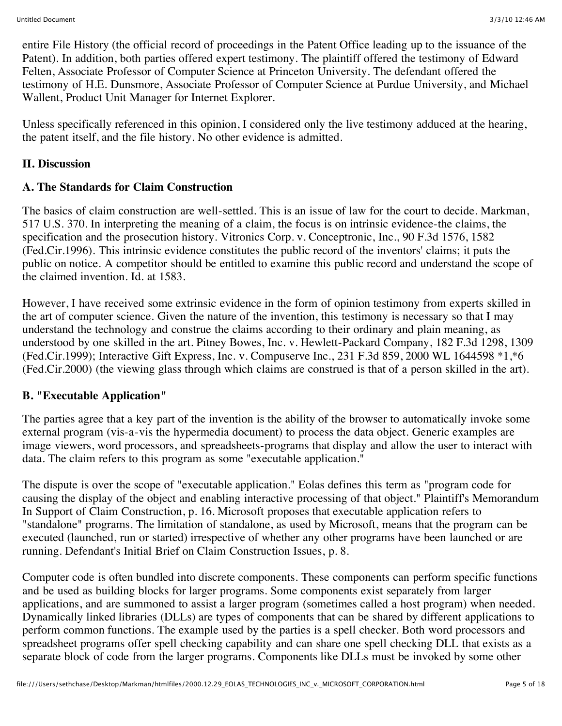entire File History (the official record of proceedings in the Patent Office leading up to the issuance of the Patent). In addition, both parties offered expert testimony. The plaintiff offered the testimony of Edward Felten, Associate Professor of Computer Science at Princeton University. The defendant offered the testimony of H.E. Dunsmore, Associate Professor of Computer Science at Purdue University, and Michael Wallent, Product Unit Manager for Internet Explorer.

Unless specifically referenced in this opinion, I considered only the live testimony adduced at the hearing, the patent itself, and the file history. No other evidence is admitted.

#### **II. Discussion**

#### **A. The Standards for Claim Construction**

The basics of claim construction are well-settled. This is an issue of law for the court to decide. Markman, 517 U.S. 370. In interpreting the meaning of a claim, the focus is on intrinsic evidence-the claims, the specification and the prosecution history. Vitronics Corp. v. Conceptronic, Inc., 90 F.3d 1576, 1582 (Fed.Cir.1996). This intrinsic evidence constitutes the public record of the inventors' claims; it puts the public on notice. A competitor should be entitled to examine this public record and understand the scope of the claimed invention. Id. at 1583.

However, I have received some extrinsic evidence in the form of opinion testimony from experts skilled in the art of computer science. Given the nature of the invention, this testimony is necessary so that I may understand the technology and construe the claims according to their ordinary and plain meaning, as understood by one skilled in the art. Pitney Bowes, Inc. v. Hewlett-Packard Company, 182 F.3d 1298, 1309 (Fed.Cir.1999); Interactive Gift Express, Inc. v. Compuserve Inc., 231 F.3d 859, 2000 WL 1644598 \*1,\*6 (Fed.Cir.2000) (the viewing glass through which claims are construed is that of a person skilled in the art).

#### **B. "Executable Application"**

The parties agree that a key part of the invention is the ability of the browser to automatically invoke some external program (vis-a-vis the hypermedia document) to process the data object. Generic examples are image viewers, word processors, and spreadsheets-programs that display and allow the user to interact with data. The claim refers to this program as some "executable application."

The dispute is over the scope of "executable application." Eolas defines this term as "program code for causing the display of the object and enabling interactive processing of that object." Plaintiff's Memorandum In Support of Claim Construction, p. 16. Microsoft proposes that executable application refers to "standalone" programs. The limitation of standalone, as used by Microsoft, means that the program can be executed (launched, run or started) irrespective of whether any other programs have been launched or are running. Defendant's Initial Brief on Claim Construction Issues, p. 8.

Computer code is often bundled into discrete components. These components can perform specific functions and be used as building blocks for larger programs. Some components exist separately from larger applications, and are summoned to assist a larger program (sometimes called a host program) when needed. Dynamically linked libraries (DLLs) are types of components that can be shared by different applications to perform common functions. The example used by the parties is a spell checker. Both word processors and spreadsheet programs offer spell checking capability and can share one spell checking DLL that exists as a separate block of code from the larger programs. Components like DLLs must be invoked by some other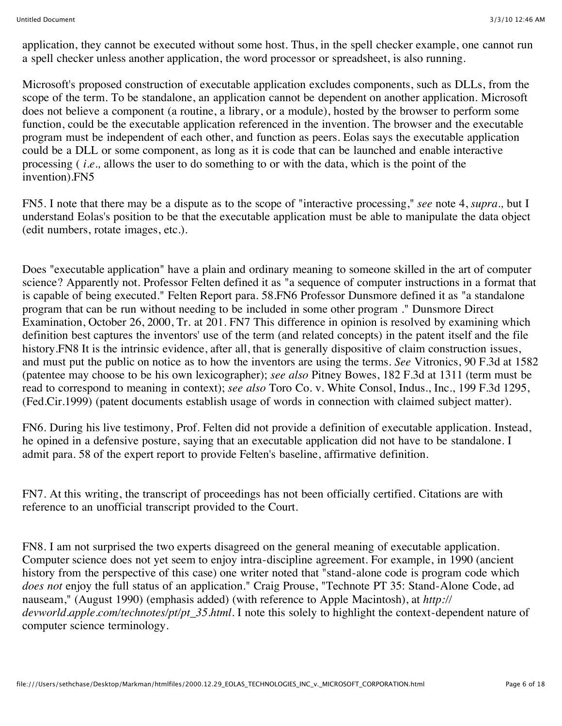application, they cannot be executed without some host. Thus, in the spell checker example, one cannot run a spell checker unless another application, the word processor or spreadsheet, is also running.

Microsoft's proposed construction of executable application excludes components, such as DLLs, from the scope of the term. To be standalone, an application cannot be dependent on another application. Microsoft does not believe a component (a routine, a library, or a module), hosted by the browser to perform some function, could be the executable application referenced in the invention. The browser and the executable program must be independent of each other, and function as peers. Eolas says the executable application could be a DLL or some component, as long as it is code that can be launched and enable interactive processing ( *i.e.,* allows the user to do something to or with the data, which is the point of the invention).FN5

FN5. I note that there may be a dispute as to the scope of "interactive processing," *see* note 4, *supra.,* but I understand Eolas's position to be that the executable application must be able to manipulate the data object (edit numbers, rotate images, etc.).

Does "executable application" have a plain and ordinary meaning to someone skilled in the art of computer science? Apparently not. Professor Felten defined it as "a sequence of computer instructions in a format that is capable of being executed." Felten Report para. 58.FN6 Professor Dunsmore defined it as "a standalone program that can be run without needing to be included in some other program ." Dunsmore Direct Examination, October 26, 2000, Tr. at 201. FN7 This difference in opinion is resolved by examining which definition best captures the inventors' use of the term (and related concepts) in the patent itself and the file history.FN8 It is the intrinsic evidence, after all, that is generally dispositive of claim construction issues, and must put the public on notice as to how the inventors are using the terms. *See* Vitronics, 90 F.3d at 1582 (patentee may choose to be his own lexicographer); *see also* Pitney Bowes, 182 F.3d at 1311 (term must be read to correspond to meaning in context); *see also* Toro Co. v. White Consol, Indus., Inc., 199 F.3d 1295, (Fed.Cir.1999) (patent documents establish usage of words in connection with claimed subject matter).

FN6. During his live testimony, Prof. Felten did not provide a definition of executable application. Instead, he opined in a defensive posture, saying that an executable application did not have to be standalone. I admit para. 58 of the expert report to provide Felten's baseline, affirmative definition.

FN7. At this writing, the transcript of proceedings has not been officially certified. Citations are with reference to an unofficial transcript provided to the Court.

FN8. I am not surprised the two experts disagreed on the general meaning of executable application. Computer science does not yet seem to enjoy intra-discipline agreement. For example, in 1990 (ancient history from the perspective of this case) one writer noted that "stand-alone code is program code which *does not* enjoy the full status of an application." Craig Prouse, "Technote PT 35: Stand-Alone Code, ad nauseam," (August 1990) (emphasis added) (with reference to Apple Macintosh), at *http:// devworld.apple.com/technotes/pt/pt\_35.html.* I note this solely to highlight the context-dependent nature of computer science terminology.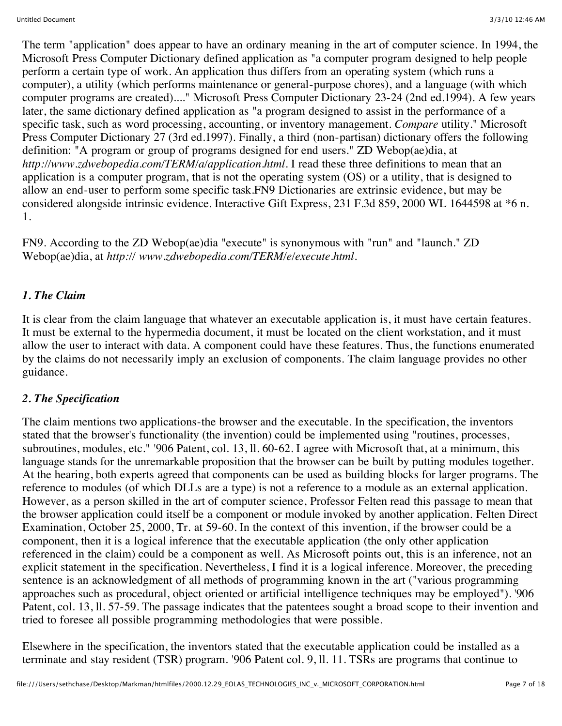The term "application" does appear to have an ordinary meaning in the art of computer science. In 1994, the Microsoft Press Computer Dictionary defined application as "a computer program designed to help people perform a certain type of work. An application thus differs from an operating system (which runs a computer), a utility (which performs maintenance or general-purpose chores), and a language (with which computer programs are created)...." Microsoft Press Computer Dictionary 23-24 (2nd ed.1994). A few years later, the same dictionary defined application as "a program designed to assist in the performance of a specific task, such as word processing, accounting, or inventory management. *Compare* utility." Microsoft Press Computer Dictionary 27 (3rd ed.1997). Finally, a third (non-partisan) dictionary offers the following definition: "A program or group of programs designed for end users." ZD Webop(ae)dia, at *http://www.zdwebopedia.com/TERM/a/application.html.* I read these three definitions to mean that an application is a computer program, that is not the operating system (OS) or a utility, that is designed to allow an end-user to perform some specific task.FN9 Dictionaries are extrinsic evidence, but may be considered alongside intrinsic evidence. Interactive Gift Express, 231 F.3d 859, 2000 WL 1644598 at \*6 n. 1.

FN9. According to the ZD Webop(ae)dia "execute" is synonymous with "run" and "launch." ZD Webop(ae)dia, at *http:// www.zdwebopedia.com/TERM/e/execute.html.*

#### *1. The Claim*

It is clear from the claim language that whatever an executable application is, it must have certain features. It must be external to the hypermedia document, it must be located on the client workstation, and it must allow the user to interact with data. A component could have these features. Thus, the functions enumerated by the claims do not necessarily imply an exclusion of components. The claim language provides no other guidance.

### *2. The Specification*

The claim mentions two applications-the browser and the executable. In the specification, the inventors stated that the browser's functionality (the invention) could be implemented using "routines, processes, subroutines, modules, etc." '906 Patent, col. 13, ll. 60-62. I agree with Microsoft that, at a minimum, this language stands for the unremarkable proposition that the browser can be built by putting modules together. At the hearing, both experts agreed that components can be used as building blocks for larger programs. The reference to modules (of which DLLs are a type) is not a reference to a module as an external application. However, as a person skilled in the art of computer science, Professor Felten read this passage to mean that the browser application could itself be a component or module invoked by another application. Felten Direct Examination, October 25, 2000, Tr. at 59-60. In the context of this invention, if the browser could be a component, then it is a logical inference that the executable application (the only other application referenced in the claim) could be a component as well. As Microsoft points out, this is an inference, not an explicit statement in the specification. Nevertheless, I find it is a logical inference. Moreover, the preceding sentence is an acknowledgment of all methods of programming known in the art ("various programming approaches such as procedural, object oriented or artificial intelligence techniques may be employed"). '906 Patent, col. 13, ll. 57-59. The passage indicates that the patentees sought a broad scope to their invention and tried to foresee all possible programming methodologies that were possible.

Elsewhere in the specification, the inventors stated that the executable application could be installed as a terminate and stay resident (TSR) program. '906 Patent col. 9, ll. 11. TSRs are programs that continue to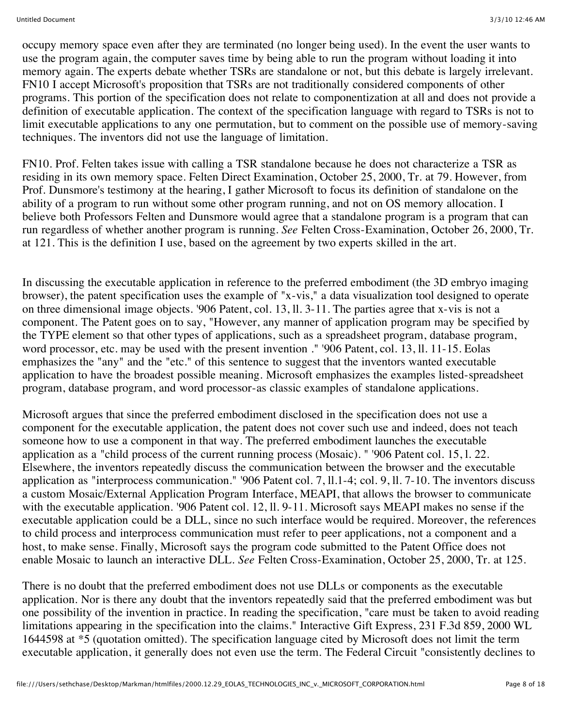occupy memory space even after they are terminated (no longer being used). In the event the user wants to use the program again, the computer saves time by being able to run the program without loading it into memory again. The experts debate whether TSRs are standalone or not, but this debate is largely irrelevant. FN10 I accept Microsoft's proposition that TSRs are not traditionally considered components of other programs. This portion of the specification does not relate to componentization at all and does not provide a definition of executable application. The context of the specification language with regard to TSRs is not to limit executable applications to any one permutation, but to comment on the possible use of memory-saving techniques. The inventors did not use the language of limitation.

FN10. Prof. Felten takes issue with calling a TSR standalone because he does not characterize a TSR as residing in its own memory space. Felten Direct Examination, October 25, 2000, Tr. at 79. However, from Prof. Dunsmore's testimony at the hearing, I gather Microsoft to focus its definition of standalone on the ability of a program to run without some other program running, and not on OS memory allocation. I believe both Professors Felten and Dunsmore would agree that a standalone program is a program that can run regardless of whether another program is running. *See* Felten Cross-Examination, October 26, 2000, Tr. at 121. This is the definition I use, based on the agreement by two experts skilled in the art.

In discussing the executable application in reference to the preferred embodiment (the 3D embryo imaging browser), the patent specification uses the example of "x-vis," a data visualization tool designed to operate on three dimensional image objects. '906 Patent, col. 13, ll. 3-11. The parties agree that x-vis is not a component. The Patent goes on to say, "However, any manner of application program may be specified by the TYPE element so that other types of applications, such as a spreadsheet program, database program, word processor, etc. may be used with the present invention ." '906 Patent, col. 13, ll. 11-15. Eolas emphasizes the "any" and the "etc." of this sentence to suggest that the inventors wanted executable application to have the broadest possible meaning. Microsoft emphasizes the examples listed-spreadsheet program, database program, and word processor-as classic examples of standalone applications.

Microsoft argues that since the preferred embodiment disclosed in the specification does not use a component for the executable application, the patent does not cover such use and indeed, does not teach someone how to use a component in that way. The preferred embodiment launches the executable application as a "child process of the current running process (Mosaic). " '906 Patent col. 15, l. 22. Elsewhere, the inventors repeatedly discuss the communication between the browser and the executable application as "interprocess communication." '906 Patent col. 7, ll.1-4; col. 9, ll. 7-10. The inventors discuss a custom Mosaic/External Application Program Interface, MEAPI, that allows the browser to communicate with the executable application. '906 Patent col. 12, ll. 9-11. Microsoft says MEAPI makes no sense if the executable application could be a DLL, since no such interface would be required. Moreover, the references to child process and interprocess communication must refer to peer applications, not a component and a host, to make sense. Finally, Microsoft says the program code submitted to the Patent Office does not enable Mosaic to launch an interactive DLL. *See* Felten Cross-Examination, October 25, 2000, Tr. at 125.

There is no doubt that the preferred embodiment does not use DLLs or components as the executable application. Nor is there any doubt that the inventors repeatedly said that the preferred embodiment was but one possibility of the invention in practice. In reading the specification, "care must be taken to avoid reading limitations appearing in the specification into the claims." Interactive Gift Express, 231 F.3d 859, 2000 WL 1644598 at \*5 (quotation omitted). The specification language cited by Microsoft does not limit the term executable application, it generally does not even use the term. The Federal Circuit "consistently declines to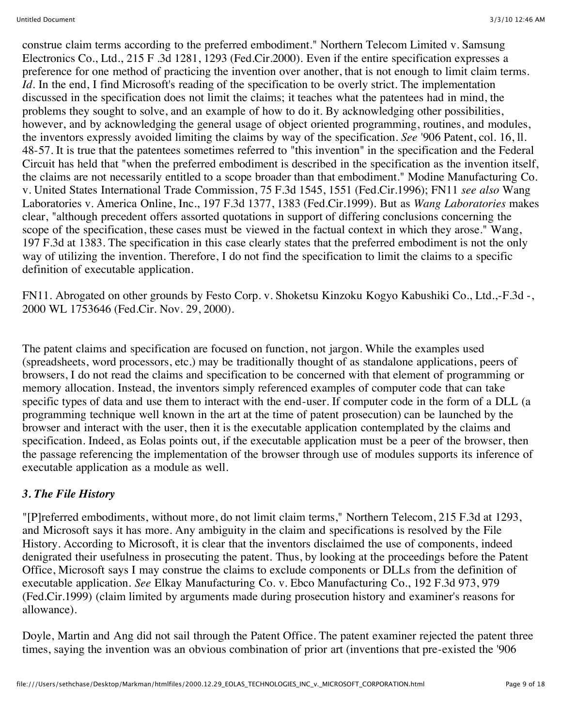construe claim terms according to the preferred embodiment." Northern Telecom Limited v. Samsung Electronics Co., Ltd., 215 F .3d 1281, 1293 (Fed.Cir.2000). Even if the entire specification expresses a preference for one method of practicing the invention over another, that is not enough to limit claim terms. *Id.* In the end, I find Microsoft's reading of the specification to be overly strict. The implementation discussed in the specification does not limit the claims; it teaches what the patentees had in mind, the problems they sought to solve, and an example of how to do it. By acknowledging other possibilities, however, and by acknowledging the general usage of object oriented programming, routines, and modules, the inventors expressly avoided limiting the claims by way of the specification. *See* '906 Patent, col. 16, ll. 48-57. It is true that the patentees sometimes referred to "this invention" in the specification and the Federal Circuit has held that "when the preferred embodiment is described in the specification as the invention itself, the claims are not necessarily entitled to a scope broader than that embodiment." Modine Manufacturing Co. v. United States International Trade Commission, 75 F.3d 1545, 1551 (Fed.Cir.1996); FN11 *see also* Wang Laboratories v. America Online, Inc., 197 F.3d 1377, 1383 (Fed.Cir.1999). But as *Wang Laboratories* makes clear, "although precedent offers assorted quotations in support of differing conclusions concerning the scope of the specification, these cases must be viewed in the factual context in which they arose." Wang, 197 F.3d at 1383. The specification in this case clearly states that the preferred embodiment is not the only way of utilizing the invention. Therefore, I do not find the specification to limit the claims to a specific definition of executable application.

FN11. Abrogated on other grounds by Festo Corp. v. Shoketsu Kinzoku Kogyo Kabushiki Co., Ltd.,-F.3d -, 2000 WL 1753646 (Fed.Cir. Nov. 29, 2000).

The patent claims and specification are focused on function, not jargon. While the examples used (spreadsheets, word processors, etc.) may be traditionally thought of as standalone applications, peers of browsers, I do not read the claims and specification to be concerned with that element of programming or memory allocation. Instead, the inventors simply referenced examples of computer code that can take specific types of data and use them to interact with the end-user. If computer code in the form of a DLL (a programming technique well known in the art at the time of patent prosecution) can be launched by the browser and interact with the user, then it is the executable application contemplated by the claims and specification. Indeed, as Eolas points out, if the executable application must be a peer of the browser, then the passage referencing the implementation of the browser through use of modules supports its inference of executable application as a module as well.

### *3. The File History*

"[P]referred embodiments, without more, do not limit claim terms," Northern Telecom, 215 F.3d at 1293, and Microsoft says it has more. Any ambiguity in the claim and specifications is resolved by the File History. According to Microsoft, it is clear that the inventors disclaimed the use of components, indeed denigrated their usefulness in prosecuting the patent. Thus, by looking at the proceedings before the Patent Office, Microsoft says I may construe the claims to exclude components or DLLs from the definition of executable application. *See* Elkay Manufacturing Co. v. Ebco Manufacturing Co., 192 F.3d 973, 979 (Fed.Cir.1999) (claim limited by arguments made during prosecution history and examiner's reasons for allowance).

Doyle, Martin and Ang did not sail through the Patent Office. The patent examiner rejected the patent three times, saying the invention was an obvious combination of prior art (inventions that pre-existed the '906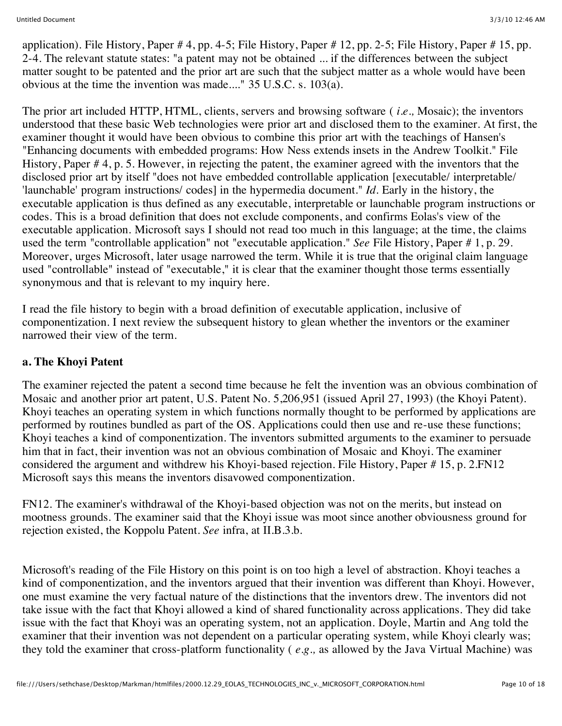application). File History, Paper  $# 4$ , pp. 4-5; File History, Paper  $# 12$ , pp. 2-5; File History, Paper  $# 15$ , pp. 2-4. The relevant statute states: "a patent may not be obtained ... if the differences between the subject matter sought to be patented and the prior art are such that the subject matter as a whole would have been obvious at the time the invention was made...." 35 U.S.C. s. 103(a).

The prior art included HTTP, HTML, clients, servers and browsing software ( *i.e.,* Mosaic); the inventors understood that these basic Web technologies were prior art and disclosed them to the examiner. At first, the examiner thought it would have been obvious to combine this prior art with the teachings of Hansen's "Enhancing documents with embedded programs: How Ness extends insets in the Andrew Toolkit." File History, Paper # 4, p. 5. However, in rejecting the patent, the examiner agreed with the inventors that the disclosed prior art by itself "does not have embedded controllable application [executable/ interpretable/ 'launchable' program instructions/ codes] in the hypermedia document." *Id.* Early in the history, the executable application is thus defined as any executable, interpretable or launchable program instructions or codes. This is a broad definition that does not exclude components, and confirms Eolas's view of the executable application. Microsoft says I should not read too much in this language; at the time, the claims used the term "controllable application" not "executable application." *See* File History, Paper # 1, p. 29. Moreover, urges Microsoft, later usage narrowed the term. While it is true that the original claim language used "controllable" instead of "executable," it is clear that the examiner thought those terms essentially synonymous and that is relevant to my inquiry here.

I read the file history to begin with a broad definition of executable application, inclusive of componentization. I next review the subsequent history to glean whether the inventors or the examiner narrowed their view of the term.

### **a. The Khoyi Patent**

The examiner rejected the patent a second time because he felt the invention was an obvious combination of Mosaic and another prior art patent, U.S. Patent No. 5,206,951 (issued April 27, 1993) (the Khoyi Patent). Khoyi teaches an operating system in which functions normally thought to be performed by applications are performed by routines bundled as part of the OS. Applications could then use and re-use these functions; Khoyi teaches a kind of componentization. The inventors submitted arguments to the examiner to persuade him that in fact, their invention was not an obvious combination of Mosaic and Khoyi. The examiner considered the argument and withdrew his Khoyi-based rejection. File History, Paper # 15, p. 2.FN12 Microsoft says this means the inventors disavowed componentization.

FN12. The examiner's withdrawal of the Khoyi-based objection was not on the merits, but instead on mootness grounds. The examiner said that the Khoyi issue was moot since another obviousness ground for rejection existed, the Koppolu Patent. *See* infra, at II.B.3.b.

Microsoft's reading of the File History on this point is on too high a level of abstraction. Khoyi teaches a kind of componentization, and the inventors argued that their invention was different than Khoyi. However, one must examine the very factual nature of the distinctions that the inventors drew. The inventors did not take issue with the fact that Khoyi allowed a kind of shared functionality across applications. They did take issue with the fact that Khoyi was an operating system, not an application. Doyle, Martin and Ang told the examiner that their invention was not dependent on a particular operating system, while Khoyi clearly was; they told the examiner that cross-platform functionality ( *e.g.,* as allowed by the Java Virtual Machine) was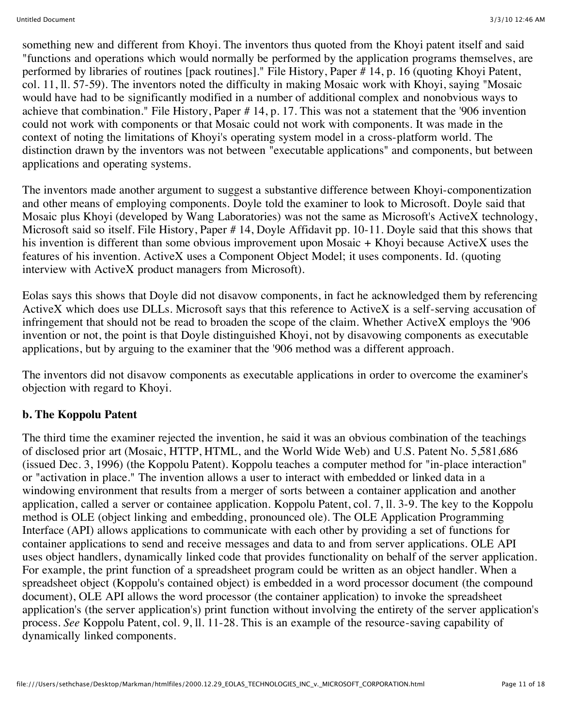something new and different from Khoyi. The inventors thus quoted from the Khoyi patent itself and said "functions and operations which would normally be performed by the application programs themselves, are performed by libraries of routines [pack routines]." File History, Paper # 14, p. 16 (quoting Khoyi Patent, col. 11, ll. 57-59). The inventors noted the difficulty in making Mosaic work with Khoyi, saying "Mosaic would have had to be significantly modified in a number of additional complex and nonobvious ways to achieve that combination." File History, Paper # 14, p. 17. This was not a statement that the '906 invention could not work with components or that Mosaic could not work with components. It was made in the context of noting the limitations of Khoyi's operating system model in a cross-platform world. The distinction drawn by the inventors was not between "executable applications" and components, but between applications and operating systems.

The inventors made another argument to suggest a substantive difference between Khoyi-componentization and other means of employing components. Doyle told the examiner to look to Microsoft. Doyle said that Mosaic plus Khoyi (developed by Wang Laboratories) was not the same as Microsoft's ActiveX technology, Microsoft said so itself. File History, Paper # 14, Doyle Affidavit pp. 10-11. Doyle said that this shows that his invention is different than some obvious improvement upon Mosaic + Khoyi because ActiveX uses the features of his invention. ActiveX uses a Component Object Model; it uses components. Id. (quoting interview with ActiveX product managers from Microsoft).

Eolas says this shows that Doyle did not disavow components, in fact he acknowledged them by referencing ActiveX which does use DLLs. Microsoft says that this reference to ActiveX is a self-serving accusation of infringement that should not be read to broaden the scope of the claim. Whether ActiveX employs the '906 invention or not, the point is that Doyle distinguished Khoyi, not by disavowing components as executable applications, but by arguing to the examiner that the '906 method was a different approach.

The inventors did not disavow components as executable applications in order to overcome the examiner's objection with regard to Khoyi.

### **b. The Koppolu Patent**

The third time the examiner rejected the invention, he said it was an obvious combination of the teachings of disclosed prior art (Mosaic, HTTP, HTML, and the World Wide Web) and U.S. Patent No. 5,581,686 (issued Dec. 3, 1996) (the Koppolu Patent). Koppolu teaches a computer method for "in-place interaction" or "activation in place." The invention allows a user to interact with embedded or linked data in a windowing environment that results from a merger of sorts between a container application and another application, called a server or containee application. Koppolu Patent, col. 7, ll. 3-9. The key to the Koppolu method is OLE (object linking and embedding, pronounced ole). The OLE Application Programming Interface (API) allows applications to communicate with each other by providing a set of functions for container applications to send and receive messages and data to and from server applications. OLE API uses object handlers, dynamically linked code that provides functionality on behalf of the server application. For example, the print function of a spreadsheet program could be written as an object handler. When a spreadsheet object (Koppolu's contained object) is embedded in a word processor document (the compound document), OLE API allows the word processor (the container application) to invoke the spreadsheet application's (the server application's) print function without involving the entirety of the server application's process. *See* Koppolu Patent, col. 9, ll. 11-28. This is an example of the resource-saving capability of dynamically linked components.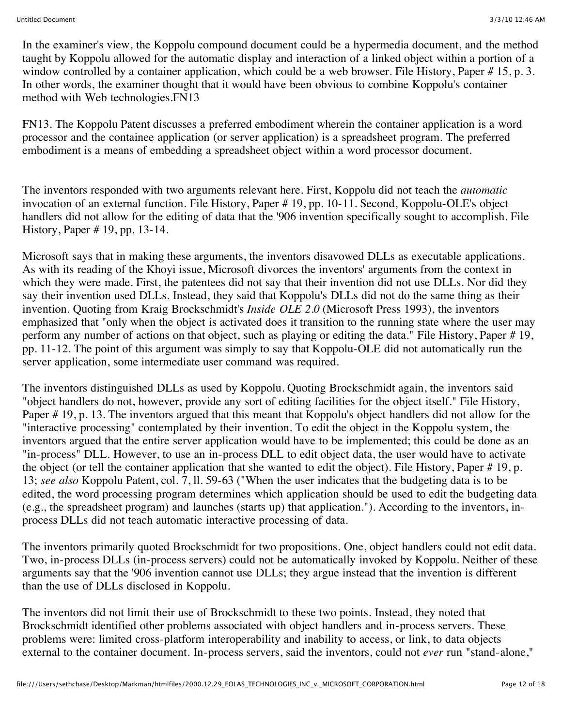In the examiner's view, the Koppolu compound document could be a hypermedia document, and the method taught by Koppolu allowed for the automatic display and interaction of a linked object within a portion of a window controlled by a container application, which could be a web browser. File History, Paper # 15, p. 3. In other words, the examiner thought that it would have been obvious to combine Koppolu's container method with Web technologies.FN13

FN13. The Koppolu Patent discusses a preferred embodiment wherein the container application is a word processor and the containee application (or server application) is a spreadsheet program. The preferred embodiment is a means of embedding a spreadsheet object within a word processor document.

The inventors responded with two arguments relevant here. First, Koppolu did not teach the *automatic* invocation of an external function. File History, Paper # 19, pp. 10-11. Second, Koppolu-OLE's object handlers did not allow for the editing of data that the '906 invention specifically sought to accomplish. File History, Paper # 19, pp. 13-14.

Microsoft says that in making these arguments, the inventors disavowed DLLs as executable applications. As with its reading of the Khoyi issue, Microsoft divorces the inventors' arguments from the context in which they were made. First, the patentees did not say that their invention did not use DLLs. Nor did they say their invention used DLLs. Instead, they said that Koppolu's DLLs did not do the same thing as their invention. Quoting from Kraig Brockschmidt's *Inside OLE 2.0* (Microsoft Press 1993), the inventors emphasized that "only when the object is activated does it transition to the running state where the user may perform any number of actions on that object, such as playing or editing the data." File History, Paper # 19, pp. 11-12. The point of this argument was simply to say that Koppolu-OLE did not automatically run the server application, some intermediate user command was required.

The inventors distinguished DLLs as used by Koppolu. Quoting Brockschmidt again, the inventors said "object handlers do not, however, provide any sort of editing facilities for the object itself." File History, Paper # 19, p. 13. The inventors argued that this meant that Koppolu's object handlers did not allow for the "interactive processing" contemplated by their invention. To edit the object in the Koppolu system, the inventors argued that the entire server application would have to be implemented; this could be done as an "in-process" DLL. However, to use an in-process DLL to edit object data, the user would have to activate the object (or tell the container application that she wanted to edit the object). File History, Paper # 19, p. 13; *see also* Koppolu Patent, col. 7, ll. 59-63 ("When the user indicates that the budgeting data is to be edited, the word processing program determines which application should be used to edit the budgeting data (e.g., the spreadsheet program) and launches (starts up) that application."). According to the inventors, inprocess DLLs did not teach automatic interactive processing of data.

The inventors primarily quoted Brockschmidt for two propositions. One, object handlers could not edit data. Two, in-process DLLs (in-process servers) could not be automatically invoked by Koppolu. Neither of these arguments say that the '906 invention cannot use DLLs; they argue instead that the invention is different than the use of DLLs disclosed in Koppolu.

The inventors did not limit their use of Brockschmidt to these two points. Instead, they noted that Brockschmidt identified other problems associated with object handlers and in-process servers. These problems were: limited cross-platform interoperability and inability to access, or link, to data objects external to the container document. In-process servers, said the inventors, could not *ever* run "stand-alone,"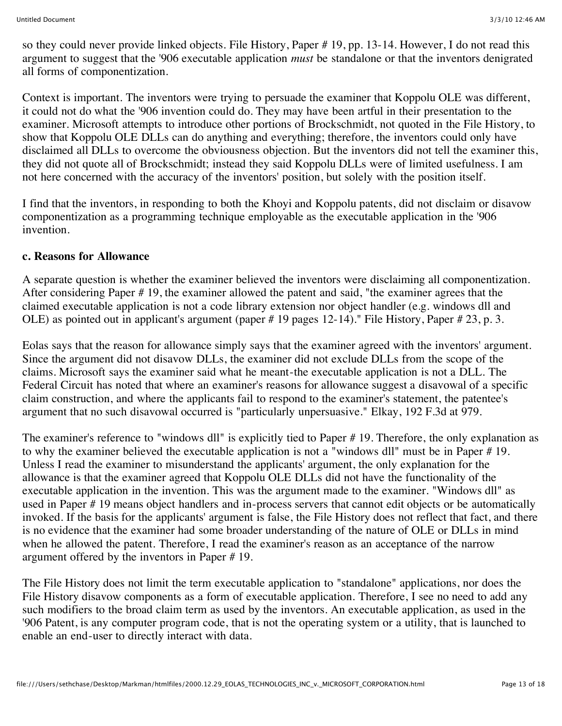so they could never provide linked objects. File History, Paper # 19, pp. 13-14. However, I do not read this argument to suggest that the '906 executable application *must* be standalone or that the inventors denigrated all forms of componentization.

Context is important. The inventors were trying to persuade the examiner that Koppolu OLE was different, it could not do what the '906 invention could do. They may have been artful in their presentation to the examiner. Microsoft attempts to introduce other portions of Brockschmidt, not quoted in the File History, to show that Koppolu OLE DLLs can do anything and everything; therefore, the inventors could only have disclaimed all DLLs to overcome the obviousness objection. But the inventors did not tell the examiner this, they did not quote all of Brockschmidt; instead they said Koppolu DLLs were of limited usefulness. I am not here concerned with the accuracy of the inventors' position, but solely with the position itself.

I find that the inventors, in responding to both the Khoyi and Koppolu patents, did not disclaim or disavow componentization as a programming technique employable as the executable application in the '906 invention.

#### **c. Reasons for Allowance**

A separate question is whether the examiner believed the inventors were disclaiming all componentization. After considering Paper # 19, the examiner allowed the patent and said, "the examiner agrees that the claimed executable application is not a code library extension nor object handler (e.g. windows dll and OLE) as pointed out in applicant's argument (paper # 19 pages 12-14)." File History, Paper # 23, p. 3.

Eolas says that the reason for allowance simply says that the examiner agreed with the inventors' argument. Since the argument did not disavow DLLs, the examiner did not exclude DLLs from the scope of the claims. Microsoft says the examiner said what he meant-the executable application is not a DLL. The Federal Circuit has noted that where an examiner's reasons for allowance suggest a disavowal of a specific claim construction, and where the applicants fail to respond to the examiner's statement, the patentee's argument that no such disavowal occurred is "particularly unpersuasive." Elkay, 192 F.3d at 979.

The examiner's reference to "windows dll" is explicitly tied to Paper # 19. Therefore, the only explanation as to why the examiner believed the executable application is not a "windows dll" must be in Paper # 19. Unless I read the examiner to misunderstand the applicants' argument, the only explanation for the allowance is that the examiner agreed that Koppolu OLE DLLs did not have the functionality of the executable application in the invention. This was the argument made to the examiner. "Windows dll" as used in Paper # 19 means object handlers and in-process servers that cannot edit objects or be automatically invoked. If the basis for the applicants' argument is false, the File History does not reflect that fact, and there is no evidence that the examiner had some broader understanding of the nature of OLE or DLLs in mind when he allowed the patent. Therefore, I read the examiner's reason as an acceptance of the narrow argument offered by the inventors in Paper # 19.

The File History does not limit the term executable application to "standalone" applications, nor does the File History disavow components as a form of executable application. Therefore, I see no need to add any such modifiers to the broad claim term as used by the inventors. An executable application, as used in the '906 Patent, is any computer program code, that is not the operating system or a utility, that is launched to enable an end-user to directly interact with data.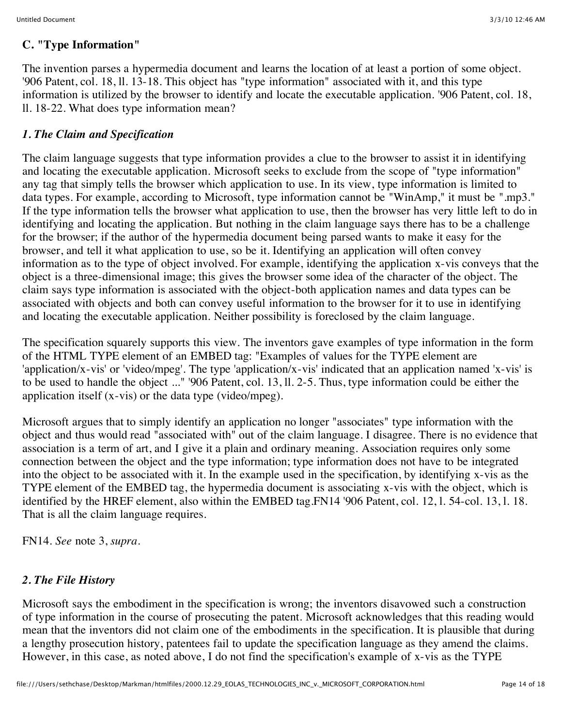#### **C. "Type Information"**

The invention parses a hypermedia document and learns the location of at least a portion of some object. '906 Patent, col. 18, ll. 13-18. This object has "type information" associated with it, and this type information is utilized by the browser to identify and locate the executable application. '906 Patent, col. 18, ll. 18-22. What does type information mean?

### *1. The Claim and Specification*

The claim language suggests that type information provides a clue to the browser to assist it in identifying and locating the executable application. Microsoft seeks to exclude from the scope of "type information" any tag that simply tells the browser which application to use. In its view, type information is limited to data types. For example, according to Microsoft, type information cannot be "WinAmp," it must be ".mp3." If the type information tells the browser what application to use, then the browser has very little left to do in identifying and locating the application. But nothing in the claim language says there has to be a challenge for the browser; if the author of the hypermedia document being parsed wants to make it easy for the browser, and tell it what application to use, so be it. Identifying an application will often convey information as to the type of object involved. For example, identifying the application x-vis conveys that the object is a three-dimensional image; this gives the browser some idea of the character of the object. The claim says type information is associated with the object-both application names and data types can be associated with objects and both can convey useful information to the browser for it to use in identifying and locating the executable application. Neither possibility is foreclosed by the claim language.

The specification squarely supports this view. The inventors gave examples of type information in the form of the HTML TYPE element of an EMBED tag: "Examples of values for the TYPE element are 'application/x-vis' or 'video/mpeg'. The type 'application/x-vis' indicated that an application named 'x-vis' is to be used to handle the object ..." '906 Patent, col. 13, ll. 2-5. Thus, type information could be either the application itself (x-vis) or the data type (video/mpeg).

Microsoft argues that to simply identify an application no longer "associates" type information with the object and thus would read "associated with" out of the claim language. I disagree. There is no evidence that association is a term of art, and I give it a plain and ordinary meaning. Association requires only some connection between the object and the type information; type information does not have to be integrated into the object to be associated with it. In the example used in the specification, by identifying x-vis as the TYPE element of the EMBED tag, the hypermedia document is associating x-vis with the object, which is identified by the HREF element, also within the EMBED tag.FN14 '906 Patent, col. 12, l. 54-col. 13, l. 18. That is all the claim language requires.

FN14. *See* note 3, *supra.*

### *2. The File History*

Microsoft says the embodiment in the specification is wrong; the inventors disavowed such a construction of type information in the course of prosecuting the patent. Microsoft acknowledges that this reading would mean that the inventors did not claim one of the embodiments in the specification. It is plausible that during a lengthy prosecution history, patentees fail to update the specification language as they amend the claims. However, in this case, as noted above, I do not find the specification's example of x-vis as the TYPE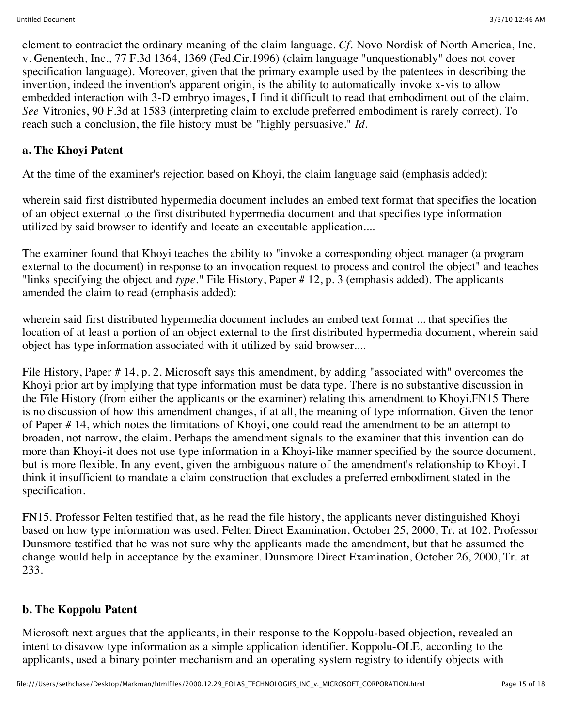element to contradict the ordinary meaning of the claim language. *Cf.* Novo Nordisk of North America, Inc. v. Genentech, Inc., 77 F.3d 1364, 1369 (Fed.Cir.1996) (claim language "unquestionably" does not cover specification language). Moreover, given that the primary example used by the patentees in describing the invention, indeed the invention's apparent origin, is the ability to automatically invoke x-vis to allow embedded interaction with 3-D embryo images, I find it difficult to read that embodiment out of the claim. *See* Vitronics, 90 F.3d at 1583 (interpreting claim to exclude preferred embodiment is rarely correct). To reach such a conclusion, the file history must be "highly persuasive." *Id.*

# **a. The Khoyi Patent**

At the time of the examiner's rejection based on Khoyi, the claim language said (emphasis added):

wherein said first distributed hypermedia document includes an embed text format that specifies the location of an object external to the first distributed hypermedia document and that specifies type information utilized by said browser to identify and locate an executable application....

The examiner found that Khoyi teaches the ability to "invoke a corresponding object manager (a program external to the document) in response to an invocation request to process and control the object" and teaches "links specifying the object and *type."* File History, Paper # 12, p. 3 (emphasis added). The applicants amended the claim to read (emphasis added):

wherein said first distributed hypermedia document includes an embed text format ... that specifies the location of at least a portion of an object external to the first distributed hypermedia document, wherein said object has type information associated with it utilized by said browser....

File History, Paper # 14, p. 2. Microsoft says this amendment, by adding "associated with" overcomes the Khoyi prior art by implying that type information must be data type. There is no substantive discussion in the File History (from either the applicants or the examiner) relating this amendment to Khoyi.FN15 There is no discussion of how this amendment changes, if at all, the meaning of type information. Given the tenor of Paper # 14, which notes the limitations of Khoyi, one could read the amendment to be an attempt to broaden, not narrow, the claim. Perhaps the amendment signals to the examiner that this invention can do more than Khoyi-it does not use type information in a Khoyi-like manner specified by the source document, but is more flexible. In any event, given the ambiguous nature of the amendment's relationship to Khoyi, I think it insufficient to mandate a claim construction that excludes a preferred embodiment stated in the specification.

FN15. Professor Felten testified that, as he read the file history, the applicants never distinguished Khoyi based on how type information was used. Felten Direct Examination, October 25, 2000, Tr. at 102. Professor Dunsmore testified that he was not sure why the applicants made the amendment, but that he assumed the change would help in acceptance by the examiner. Dunsmore Direct Examination, October 26, 2000, Tr. at 233.

### **b. The Koppolu Patent**

Microsoft next argues that the applicants, in their response to the Koppolu-based objection, revealed an intent to disavow type information as a simple application identifier. Koppolu-OLE, according to the applicants, used a binary pointer mechanism and an operating system registry to identify objects with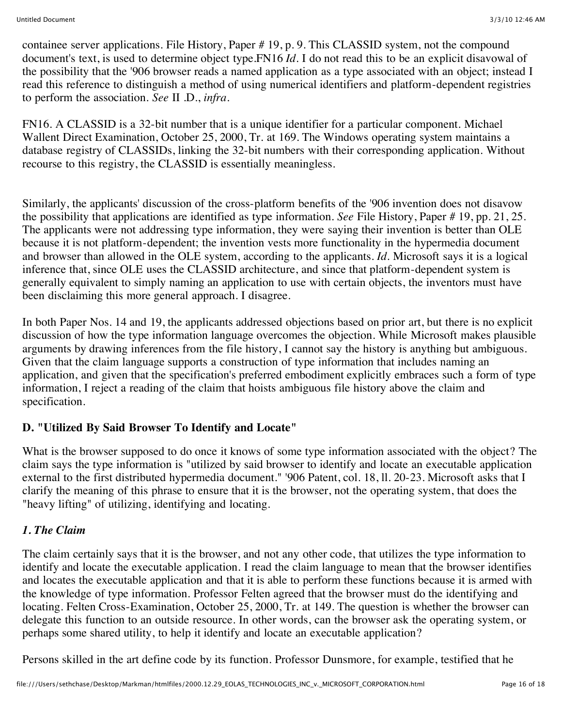containee server applications. File History, Paper # 19, p. 9. This CLASSID system, not the compound document's text, is used to determine object type.FN16 *Id.* I do not read this to be an explicit disavowal of the possibility that the '906 browser reads a named application as a type associated with an object; instead I read this reference to distinguish a method of using numerical identifiers and platform-dependent registries to perform the association. *See* II .D., *infra.*

FN16. A CLASSID is a 32-bit number that is a unique identifier for a particular component. Michael Wallent Direct Examination, October 25, 2000, Tr. at 169. The Windows operating system maintains a database registry of CLASSIDs, linking the 32-bit numbers with their corresponding application. Without recourse to this registry, the CLASSID is essentially meaningless.

Similarly, the applicants' discussion of the cross-platform benefits of the '906 invention does not disavow the possibility that applications are identified as type information. *See* File History, Paper # 19, pp. 21, 25. The applicants were not addressing type information, they were saying their invention is better than OLE because it is not platform-dependent; the invention vests more functionality in the hypermedia document and browser than allowed in the OLE system, according to the applicants. *Id.* Microsoft says it is a logical inference that, since OLE uses the CLASSID architecture, and since that platform-dependent system is generally equivalent to simply naming an application to use with certain objects, the inventors must have been disclaiming this more general approach. I disagree.

In both Paper Nos. 14 and 19, the applicants addressed objections based on prior art, but there is no explicit discussion of how the type information language overcomes the objection. While Microsoft makes plausible arguments by drawing inferences from the file history, I cannot say the history is anything but ambiguous. Given that the claim language supports a construction of type information that includes naming an application, and given that the specification's preferred embodiment explicitly embraces such a form of type information, I reject a reading of the claim that hoists ambiguous file history above the claim and specification.

### **D. "Utilized By Said Browser To Identify and Locate"**

What is the browser supposed to do once it knows of some type information associated with the object? The claim says the type information is "utilized by said browser to identify and locate an executable application external to the first distributed hypermedia document." '906 Patent, col. 18, ll. 20-23. Microsoft asks that I clarify the meaning of this phrase to ensure that it is the browser, not the operating system, that does the "heavy lifting" of utilizing, identifying and locating.

#### *1. The Claim*

The claim certainly says that it is the browser, and not any other code, that utilizes the type information to identify and locate the executable application. I read the claim language to mean that the browser identifies and locates the executable application and that it is able to perform these functions because it is armed with the knowledge of type information. Professor Felten agreed that the browser must do the identifying and locating. Felten Cross-Examination, October 25, 2000, Tr. at 149. The question is whether the browser can delegate this function to an outside resource. In other words, can the browser ask the operating system, or perhaps some shared utility, to help it identify and locate an executable application?

Persons skilled in the art define code by its function. Professor Dunsmore, for example, testified that he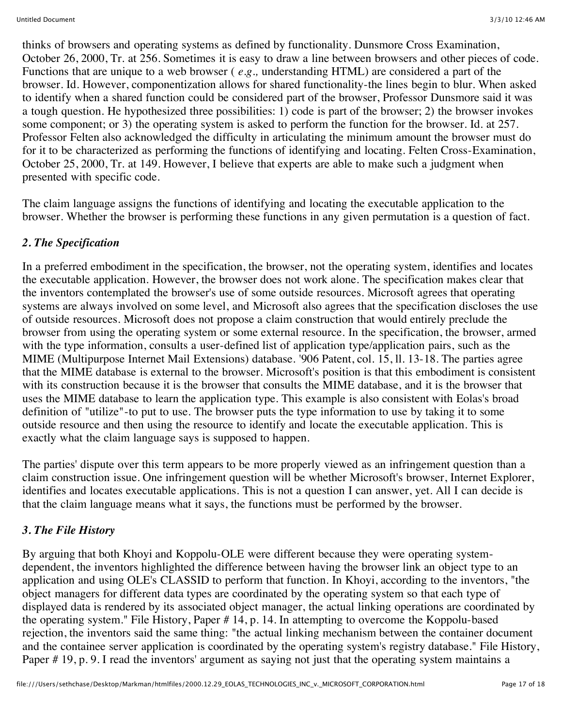thinks of browsers and operating systems as defined by functionality. Dunsmore Cross Examination, October 26, 2000, Tr. at 256. Sometimes it is easy to draw a line between browsers and other pieces of code. Functions that are unique to a web browser ( *e.g.,* understanding HTML) are considered a part of the browser. Id. However, componentization allows for shared functionality-the lines begin to blur. When asked to identify when a shared function could be considered part of the browser, Professor Dunsmore said it was a tough question. He hypothesized three possibilities: 1) code is part of the browser; 2) the browser invokes some component; or 3) the operating system is asked to perform the function for the browser. Id. at 257. Professor Felten also acknowledged the difficulty in articulating the minimum amount the browser must do for it to be characterized as performing the functions of identifying and locating. Felten Cross-Examination, October 25, 2000, Tr. at 149. However, I believe that experts are able to make such a judgment when presented with specific code.

The claim language assigns the functions of identifying and locating the executable application to the browser. Whether the browser is performing these functions in any given permutation is a question of fact.

## *2. The Specification*

In a preferred embodiment in the specification, the browser, not the operating system, identifies and locates the executable application. However, the browser does not work alone. The specification makes clear that the inventors contemplated the browser's use of some outside resources. Microsoft agrees that operating systems are always involved on some level, and Microsoft also agrees that the specification discloses the use of outside resources. Microsoft does not propose a claim construction that would entirely preclude the browser from using the operating system or some external resource. In the specification, the browser, armed with the type information, consults a user-defined list of application type/application pairs, such as the MIME (Multipurpose Internet Mail Extensions) database. '906 Patent, col. 15, ll. 13-18. The parties agree that the MIME database is external to the browser. Microsoft's position is that this embodiment is consistent with its construction because it is the browser that consults the MIME database, and it is the browser that uses the MIME database to learn the application type. This example is also consistent with Eolas's broad definition of "utilize"-to put to use. The browser puts the type information to use by taking it to some outside resource and then using the resource to identify and locate the executable application. This is exactly what the claim language says is supposed to happen.

The parties' dispute over this term appears to be more properly viewed as an infringement question than a claim construction issue. One infringement question will be whether Microsoft's browser, Internet Explorer, identifies and locates executable applications. This is not a question I can answer, yet. All I can decide is that the claim language means what it says, the functions must be performed by the browser.

# *3. The File History*

By arguing that both Khoyi and Koppolu-OLE were different because they were operating systemdependent, the inventors highlighted the difference between having the browser link an object type to an application and using OLE's CLASSID to perform that function. In Khoyi, according to the inventors, "the object managers for different data types are coordinated by the operating system so that each type of displayed data is rendered by its associated object manager, the actual linking operations are coordinated by the operating system." File History, Paper # 14, p. 14. In attempting to overcome the Koppolu-based rejection, the inventors said the same thing: "the actual linking mechanism between the container document and the containee server application is coordinated by the operating system's registry database." File History, Paper # 19, p. 9. I read the inventors' argument as saying not just that the operating system maintains a